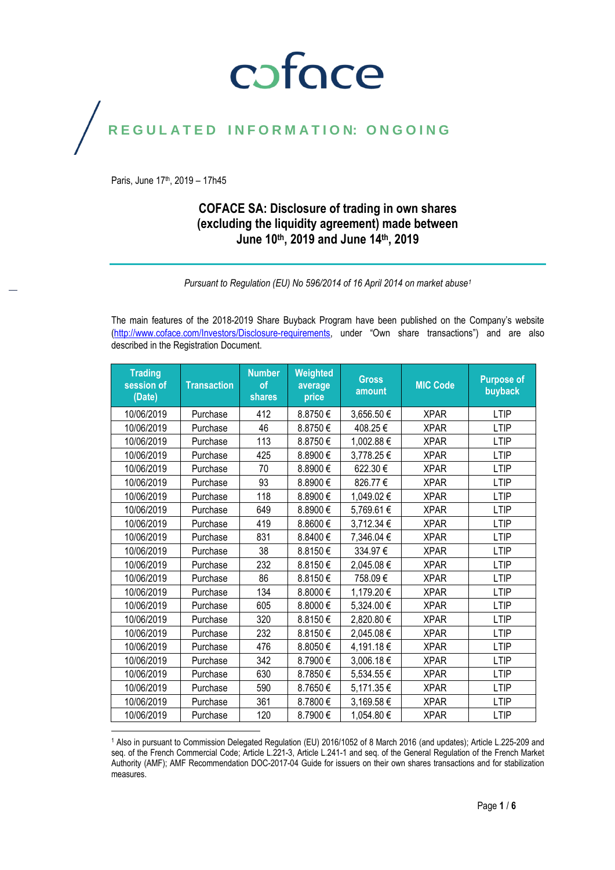### coface

#### REGULATED INFORMATION: ONGOING

Paris, June 17<sup>th</sup>, 2019 - 17h45

#### **COFACE SA: Disclosure of trading in own shares (excluding the liquidity agreement) made between June 10th, 2019 and June 14 th , 2019**

*Pursuant to Regulation (EU) No 596/2014 of 16 April 2014 on market abuse<sup>1</sup>*

The main features of the 2018-2019 Share Buyback Program have been published on the Company's website [\(http://www.coface.com/Investors/Disclosure-requirements](http://www.coface.com/Investors/Disclosure-requirements), under "Own share transactions") and are also described in the Registration Document.

| <b>Trading</b><br>session of<br>(Date) | <b>Transaction</b> | <b>Number</b><br>of<br>shares | Weighted<br>average<br>price | <b>Gross</b><br>amount | <b>MIC Code</b> | <b>Purpose of</b><br>buyback |
|----------------------------------------|--------------------|-------------------------------|------------------------------|------------------------|-----------------|------------------------------|
| 10/06/2019                             | Purchase           | 412                           | 8.8750€                      | 3,656.50€              | <b>XPAR</b>     | LTIP                         |
| 10/06/2019                             | Purchase           | 46                            | 8.8750€                      | 408.25€                | <b>XPAR</b>     | <b>LTIP</b>                  |
| 10/06/2019                             | Purchase           | 113                           | 8.8750€                      | 1,002.88€              | <b>XPAR</b>     | <b>LTIP</b>                  |
| 10/06/2019                             | Purchase           | 425                           | 8.8900€                      | 3,778.25€              | <b>XPAR</b>     | <b>LTIP</b>                  |
| 10/06/2019                             | Purchase           | 70                            | 8.8900€                      | 622.30€                | <b>XPAR</b>     | <b>LTIP</b>                  |
| 10/06/2019                             | Purchase           | 93                            | 8.8900€                      | 826.77€                | <b>XPAR</b>     | <b>LTIP</b>                  |
| 10/06/2019                             | Purchase           | 118                           | 8.8900€                      | 1,049.02€              | <b>XPAR</b>     | <b>LTIP</b>                  |
| 10/06/2019                             | Purchase           | 649                           | 8.8900€                      | 5,769.61€              | <b>XPAR</b>     | <b>LTIP</b>                  |
| 10/06/2019                             | Purchase           | 419                           | 8.8600€                      | 3,712.34 €             | <b>XPAR</b>     | <b>LTIP</b>                  |
| 10/06/2019                             | Purchase           | 831                           | 8.8400€                      | 7,346.04 €             | <b>XPAR</b>     | <b>LTIP</b>                  |
| 10/06/2019                             | Purchase           | 38                            | 8.8150€                      | 334.97€                | <b>XPAR</b>     | LTIP                         |
| 10/06/2019                             | Purchase           | 232                           | 8.8150€                      | 2,045.08€              | <b>XPAR</b>     | <b>LTIP</b>                  |
| 10/06/2019                             | Purchase           | 86                            | 8.8150€                      | 758.09€                | <b>XPAR</b>     | <b>LTIP</b>                  |
| 10/06/2019                             | Purchase           | 134                           | 8.8000€                      | 1,179.20€              | <b>XPAR</b>     | <b>LTIP</b>                  |
| 10/06/2019                             | Purchase           | 605                           | 8.8000€                      | 5,324.00 €             | <b>XPAR</b>     | <b>LTIP</b>                  |
| 10/06/2019                             | Purchase           | 320                           | 8.8150€                      | 2,820.80€              | <b>XPAR</b>     | <b>LTIP</b>                  |
| 10/06/2019                             | Purchase           | 232                           | 8.8150€                      | 2,045.08€              | <b>XPAR</b>     | <b>LTIP</b>                  |
| 10/06/2019                             | Purchase           | 476                           | 8.8050€                      | 4,191.18€              | <b>XPAR</b>     | <b>LTIP</b>                  |
| 10/06/2019                             | Purchase           | 342                           | 8.7900€                      | 3,006.18€              | <b>XPAR</b>     | <b>LTIP</b>                  |
| 10/06/2019                             | Purchase           | 630                           | 8.7850€                      | 5,534.55€              | <b>XPAR</b>     | <b>LTIP</b>                  |
| 10/06/2019                             | Purchase           | 590                           | 8.7650€                      | 5,171.35€              | <b>XPAR</b>     | <b>LTIP</b>                  |
| 10/06/2019                             | Purchase           | 361                           | 8.7800€                      | 3,169.58€              | <b>XPAR</b>     | <b>LTIP</b>                  |
| 10/06/2019                             | Purchase           | 120                           | 8.7900€                      | 1,054.80€              | <b>XPAR</b>     | <b>LTIP</b>                  |
|                                        |                    |                               |                              |                        |                 |                              |

<sup>1</sup> Also in pursuant to Commission Delegated Regulation (EU) 2016/1052 of 8 March 2016 (and updates); Article L.225-209 and seq. of the French Commercial Code; Article L.221-3, Article L.241-1 and seq. of the General Regulation of the French Market Authority (AMF); AMF Recommendation DOC-2017-04 Guide for issuers on their own shares transactions and for stabilization measures.

Page **1** / **6**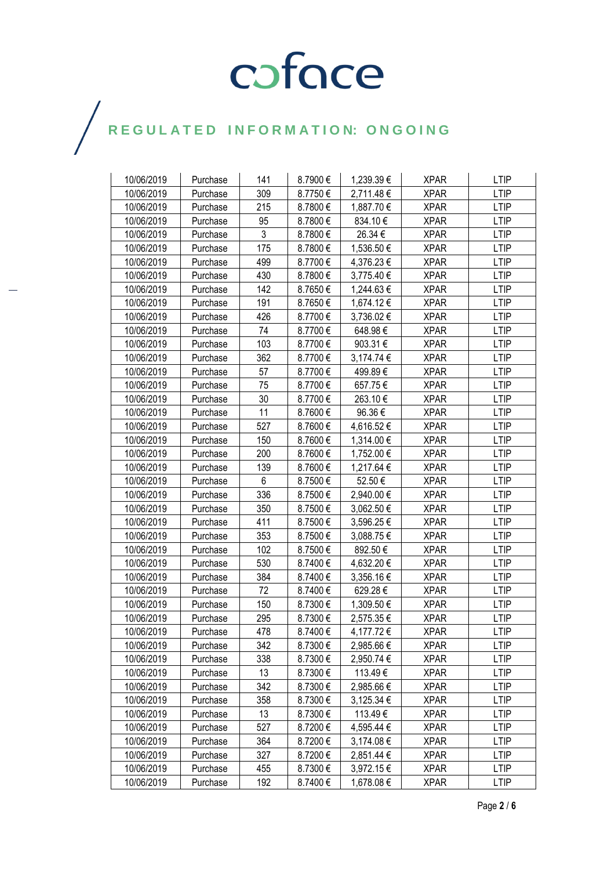| 10/06/2019 | Purchase | 141 | 8.7900€ | 1,239.39 € | <b>XPAR</b> | <b>LTIP</b> |
|------------|----------|-----|---------|------------|-------------|-------------|
| 10/06/2019 | Purchase | 309 | 8.7750€ | 2,711.48€  | <b>XPAR</b> | <b>LTIP</b> |
| 10/06/2019 | Purchase | 215 | 8.7800€ | 1,887.70 € | <b>XPAR</b> | <b>LTIP</b> |
| 10/06/2019 | Purchase | 95  | 8.7800€ | 834.10€    | <b>XPAR</b> | <b>LTIP</b> |
| 10/06/2019 | Purchase | 3   | 8.7800€ | 26.34 €    | <b>XPAR</b> | <b>LTIP</b> |
| 10/06/2019 | Purchase | 175 | 8.7800€ | 1,536.50 € | <b>XPAR</b> | <b>LTIP</b> |
| 10/06/2019 | Purchase | 499 | 8.7700€ | 4,376.23 € | <b>XPAR</b> | <b>LTIP</b> |
| 10/06/2019 | Purchase | 430 | 8.7800€ | 3,775.40 € | <b>XPAR</b> | <b>LTIP</b> |
| 10/06/2019 | Purchase | 142 | 8.7650€ | 1,244.63 € | <b>XPAR</b> | <b>LTIP</b> |
| 10/06/2019 | Purchase | 191 | 8.7650€ | 1,674.12 € | <b>XPAR</b> | <b>LTIP</b> |
| 10/06/2019 | Purchase | 426 | 8.7700€ | 3,736.02 € | <b>XPAR</b> | <b>LTIP</b> |
| 10/06/2019 |          | 74  | 8.7700€ | 648.98€    | <b>XPAR</b> | <b>LTIP</b> |
|            | Purchase | 103 |         |            |             |             |
| 10/06/2019 | Purchase | 362 | 8.7700€ | 903.31€    | <b>XPAR</b> | <b>LTIP</b> |
| 10/06/2019 | Purchase |     | 8.7700€ | 3,174.74 € | XPAR        | <b>LTIP</b> |
| 10/06/2019 | Purchase | 57  | 8.7700€ | 499.89€    | <b>XPAR</b> | <b>LTIP</b> |
| 10/06/2019 | Purchase | 75  | 8.7700€ | 657.75€    | <b>XPAR</b> | <b>LTIP</b> |
| 10/06/2019 | Purchase | 30  | 8.7700€ | 263.10€    | <b>XPAR</b> | <b>LTIP</b> |
| 10/06/2019 | Purchase | 11  | 8.7600€ | 96.36€     | <b>XPAR</b> | <b>LTIP</b> |
| 10/06/2019 | Purchase | 527 | 8.7600€ | 4,616.52€  | XPAR        | <b>LTIP</b> |
| 10/06/2019 | Purchase | 150 | 8.7600€ | 1,314.00 € | <b>XPAR</b> | <b>LTIP</b> |
| 10/06/2019 | Purchase | 200 | 8.7600€ | 1,752.00 € | <b>XPAR</b> | <b>LTIP</b> |
| 10/06/2019 | Purchase | 139 | 8.7600€ | 1,217.64 € | <b>XPAR</b> | <b>LTIP</b> |
| 10/06/2019 | Purchase | 6   | 8.7500€ | 52.50€     | <b>XPAR</b> | <b>LTIP</b> |
| 10/06/2019 | Purchase | 336 | 8.7500€ | 2,940.00 € | XPAR        | <b>LTIP</b> |
| 10/06/2019 | Purchase | 350 | 8.7500€ | 3,062.50 € | <b>XPAR</b> | <b>LTIP</b> |
| 10/06/2019 | Purchase | 411 | 8.7500€ | 3,596.25 € | <b>XPAR</b> | <b>LTIP</b> |
| 10/06/2019 | Purchase | 353 | 8.7500€ | 3,088.75€  | <b>XPAR</b> | <b>LTIP</b> |
| 10/06/2019 | Purchase | 102 | 8.7500€ | 892.50€    | XPAR        | <b>LTIP</b> |
| 10/06/2019 | Purchase | 530 | 8.7400€ | 4,632.20 € | <b>XPAR</b> | <b>LTIP</b> |
| 10/06/2019 | Purchase | 384 | 8.7400€ | 3,356.16 € | <b>XPAR</b> | <b>LTIP</b> |
| 10/06/2019 | Purchase | 72  | 8.7400€ | 629.28€    | <b>XPAR</b> | <b>LTIP</b> |
| 10/06/2019 | Purchase | 150 | 8.7300€ | 1,309.50 € | XPAR        | <b>LTIP</b> |
| 10/06/2019 | Purchase | 295 | 8.7300€ | 2,575.35€  | <b>XPAR</b> | <b>LTIP</b> |
| 10/06/2019 | Purchase | 478 | 8.7400€ | 4,177.72€  | <b>XPAR</b> | <b>LTIP</b> |
| 10/06/2019 | Purchase | 342 | 8.7300€ | 2,985.66 € | <b>XPAR</b> | <b>LTIP</b> |
| 10/06/2019 | Purchase | 338 | 8.7300€ | 2,950.74 € | <b>XPAR</b> | <b>LTIP</b> |
| 10/06/2019 | Purchase | 13  | 8.7300€ | 113.49€    | <b>XPAR</b> | <b>LTIP</b> |
| 10/06/2019 | Purchase | 342 | 8.7300€ | 2,985.66 € | <b>XPAR</b> | LTIP        |
| 10/06/2019 | Purchase | 358 | 8.7300€ | 3,125.34 € | <b>XPAR</b> | <b>LTIP</b> |
| 10/06/2019 | Purchase | 13  | 8.7300€ | 113.49€    | <b>XPAR</b> | <b>LTIP</b> |
| 10/06/2019 | Purchase | 527 | 8.7200€ | 4,595.44 € | <b>XPAR</b> | <b>LTIP</b> |
| 10/06/2019 | Purchase | 364 | 8.7200€ | 3,174.08 € | <b>XPAR</b> | <b>LTIP</b> |
| 10/06/2019 | Purchase | 327 | 8.7200€ | 2,851.44 € | <b>XPAR</b> | <b>LTIP</b> |
| 10/06/2019 | Purchase | 455 | 8.7300€ | 3,972.15€  | <b>XPAR</b> | <b>LTIP</b> |
| 10/06/2019 | Purchase | 192 | 8.7400€ | 1,678.08 € | <b>XPAR</b> | <b>LTIP</b> |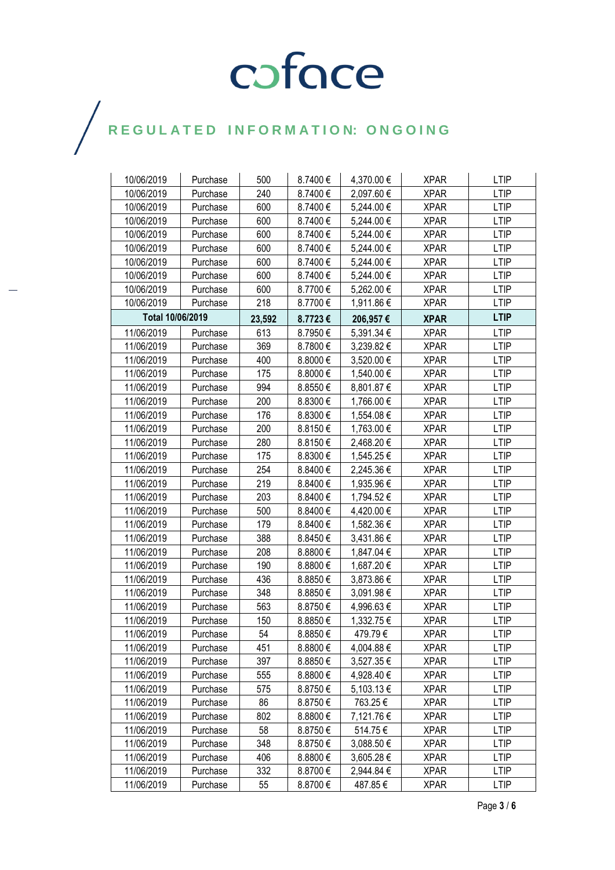| 10/06/2019       | Purchase | 500    | 8.7400€ | 4,370.00 €     | <b>XPAR</b> | <b>LTIP</b> |
|------------------|----------|--------|---------|----------------|-------------|-------------|
| 10/06/2019       | Purchase | 240    | 8.7400€ | 2,097.60€      | <b>XPAR</b> | <b>LTIP</b> |
| 10/06/2019       | Purchase | 600    | 8.7400€ | 5,244.00 €     | <b>XPAR</b> | <b>LTIP</b> |
| 10/06/2019       | Purchase | 600    | 8.7400€ | 5,244.00 €     | <b>XPAR</b> | <b>LTIP</b> |
| 10/06/2019       | Purchase | 600    | 8.7400€ | 5,244.00 €     | <b>XPAR</b> | <b>LTIP</b> |
| 10/06/2019       | Purchase | 600    | 8.7400€ | 5,244.00 €     | <b>XPAR</b> | <b>LTIP</b> |
| 10/06/2019       | Purchase | 600    | 8.7400€ | 5,244.00 €     | <b>XPAR</b> | <b>LTIP</b> |
| 10/06/2019       | Purchase | 600    | 8.7400€ | 5,244.00 €     | <b>XPAR</b> | <b>LTIP</b> |
| 10/06/2019       | Purchase | 600    | 8.7700€ | 5,262.00 €     | <b>XPAR</b> | <b>LTIP</b> |
| 10/06/2019       | Purchase | 218    | 8.7700€ | 1,911.86 €     | <b>XPAR</b> | <b>LTIP</b> |
| Total 10/06/2019 |          | 23,592 | 8.7723€ | 206,957€       | <b>XPAR</b> | <b>LTIP</b> |
| 11/06/2019       | Purchase | 613    | 8.7950€ | 5,391.34 €     | <b>XPAR</b> | <b>LTIP</b> |
| 11/06/2019       | Purchase | 369    | 8.7800€ | 3,239.82 €     | <b>XPAR</b> | <b>LTIP</b> |
| 11/06/2019       | Purchase | 400    | 8.8000€ | 3,520.00 €     | <b>XPAR</b> | <b>LTIP</b> |
| 11/06/2019       | Purchase | 175    | 8.8000€ | 1,540.00 €     | <b>XPAR</b> | <b>LTIP</b> |
| 11/06/2019       | Purchase | 994    | 8.8550€ | 8,801.87 €     | <b>XPAR</b> | <b>LTIP</b> |
| 11/06/2019       | Purchase | 200    | 8.8300€ | 1,766.00 €     | XPAR        | LTIP        |
| 11/06/2019       | Purchase | 176    | 8.8300€ | 1,554.08€      | <b>XPAR</b> | <b>LTIP</b> |
| 11/06/2019       | Purchase | 200    | 8.8150€ | 1,763.00 €     | <b>XPAR</b> | <b>LTIP</b> |
| 11/06/2019       | Purchase | 280    | 8.8150€ | 2,468.20 €     | <b>XPAR</b> | <b>LTIP</b> |
| 11/06/2019       | Purchase | 175    | 8.8300€ | 1,545.25 €     | <b>XPAR</b> | <b>LTIP</b> |
| 11/06/2019       | Purchase | 254    | 8.8400€ | 2,245.36€      | XPAR        | <b>LTIP</b> |
| 11/06/2019       | Purchase | 219    | 8.8400€ | 1,935.96 €     | <b>XPAR</b> | <b>LTIP</b> |
| 11/06/2019       | Purchase | 203    | 8.8400€ | 1,794.52 €     | <b>XPAR</b> | <b>LTIP</b> |
| 11/06/2019       | Purchase | 500    | 8.8400€ | 4,420.00 €     | <b>XPAR</b> | <b>LTIP</b> |
| 11/06/2019       | Purchase | 179    | 8.8400€ | 1,582.36€      | <b>XPAR</b> | <b>LTIP</b> |
| 11/06/2019       | Purchase | 388    | 8.8450€ | 3,431.86 €     | <b>XPAR</b> | <b>LTIP</b> |
| 11/06/2019       | Purchase | 208    | 8.8800€ | 1,847.04 €     | <b>XPAR</b> | <b>LTIP</b> |
| 11/06/2019       | Purchase | 190    | 8.8800€ | 1,687.20 €     | <b>XPAR</b> | <b>LTIP</b> |
| 11/06/2019       | Purchase | 436    | 8.8850€ | 3,873.86 €     | <b>XPAR</b> | <b>LTIP</b> |
| 11/06/2019       | Purchase | 348    | 8.8850€ | 3,091.98€      | <b>XPAR</b> | <b>LTIP</b> |
| 11/06/2019       | Purchase | 563    | 8.8750€ | 4,996.63€      | <b>XPAR</b> | <b>LTIP</b> |
| 11/06/2019       | Purchase | 150    | 8.8850€ | 1,332.75 €     | <b>XPAR</b> | <b>LTIP</b> |
| 11/06/2019       | Purchase | 54     | 8.8850€ | 479.79€        | <b>XPAR</b> | <b>LTIP</b> |
| 11/06/2019       | Purchase | 451    | 8.8800€ | 4,004.88 €     | <b>XPAR</b> | LTIP        |
| 11/06/2019       | Purchase | 397    | 8.8850€ | 3,527.35 €     | <b>XPAR</b> | <b>LTIP</b> |
| 11/06/2019       | Purchase | 555    | 8.8800€ | 4,928.40 €     | <b>XPAR</b> | <b>LTIP</b> |
| 11/06/2019       | Purchase | 575    | 8.8750€ | $5,103.13 \in$ | <b>XPAR</b> | <b>LTIP</b> |
| 11/06/2019       | Purchase | 86     | 8.8750€ | 763.25€        | <b>XPAR</b> | <b>LTIP</b> |
| 11/06/2019       | Purchase | 802    | 8.8800€ | 7,121.76 €     | <b>XPAR</b> | <b>LTIP</b> |
| 11/06/2019       | Purchase | 58     | 8.8750€ | 514.75€        | <b>XPAR</b> | <b>LTIP</b> |
| 11/06/2019       | Purchase | 348    | 8.8750€ | 3,088.50 €     | <b>XPAR</b> | <b>LTIP</b> |
| 11/06/2019       | Purchase | 406    | 8.8800€ | 3,605.28€      | <b>XPAR</b> | <b>LTIP</b> |
| 11/06/2019       | Purchase | 332    | 8.8700€ | 2,944.84 €     | <b>XPAR</b> | <b>LTIP</b> |
| 11/06/2019       | Purchase | 55     | 8.8700€ | 487.85€        | <b>XPAR</b> | <b>LTIP</b> |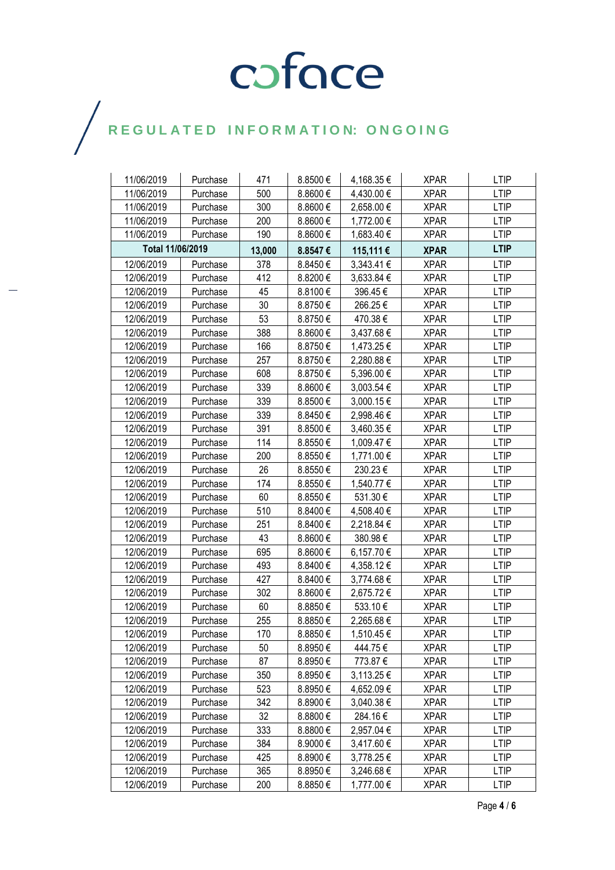| 11/06/2019       | Purchase | 471    | 8.8500€ | 4,168.35 €     | <b>XPAR</b> | <b>LTIP</b> |
|------------------|----------|--------|---------|----------------|-------------|-------------|
| 11/06/2019       | Purchase | 500    | 8.8600€ | 4,430.00 €     | <b>XPAR</b> | <b>LTIP</b> |
| 11/06/2019       | Purchase | 300    | 8.8600€ | 2,658.00 €     | <b>XPAR</b> | <b>LTIP</b> |
| 11/06/2019       | Purchase | 200    | 8.8600€ | 1,772.00 €     | <b>XPAR</b> | <b>LTIP</b> |
| 11/06/2019       | Purchase | 190    | 8.8600€ | 1,683.40 €     | <b>XPAR</b> | <b>LTIP</b> |
| Total 11/06/2019 |          | 13,000 | 8.8547€ | 115,111 €      | <b>XPAR</b> | <b>LTIP</b> |
| 12/06/2019       | Purchase | 378    | 8.8450€ | $3,343.41 \in$ | <b>XPAR</b> | <b>LTIP</b> |
| 12/06/2019       | Purchase | 412    | 8.8200€ | 3,633.84 €     | <b>XPAR</b> | <b>LTIP</b> |
| 12/06/2019       | Purchase | 45     | 8.8100€ | 396.45€        | <b>XPAR</b> | <b>LTIP</b> |
| 12/06/2019       | Purchase | 30     | 8.8750€ | 266.25€        | <b>XPAR</b> | <b>LTIP</b> |
| 12/06/2019       | Purchase | 53     | 8.8750€ | 470.38€        | <b>XPAR</b> | <b>LTIP</b> |
| 12/06/2019       | Purchase | 388    | 8.8600€ | 3,437.68 €     | <b>XPAR</b> | <b>LTIP</b> |
| 12/06/2019       | Purchase | 166    | 8.8750€ | 1,473.25 €     | <b>XPAR</b> | <b>LTIP</b> |
| 12/06/2019       | Purchase | 257    | 8.8750€ | 2,280.88 €     | <b>XPAR</b> | <b>LTIP</b> |
| 12/06/2019       | Purchase | 608    | 8.8750€ | 5,396.00 €     | <b>XPAR</b> | <b>LTIP</b> |
| 12/06/2019       | Purchase | 339    | 8.8600€ | 3,003.54 €     | <b>XPAR</b> | <b>LTIP</b> |
| 12/06/2019       | Purchase | 339    | 8.8500€ | 3,000.15 €     | <b>XPAR</b> | <b>LTIP</b> |
| 12/06/2019       | Purchase | 339    | 8.8450€ | 2,998.46€      | <b>XPAR</b> | <b>LTIP</b> |
| 12/06/2019       | Purchase | 391    | 8.8500€ | 3,460.35 €     | <b>XPAR</b> | <b>LTIP</b> |
| 12/06/2019       | Purchase | 114    | 8.8550€ | 1,009.47€      | <b>XPAR</b> | <b>LTIP</b> |
| 12/06/2019       | Purchase | 200    | 8.8550€ | 1,771.00 €     | <b>XPAR</b> | <b>LTIP</b> |
| 12/06/2019       | Purchase | 26     | 8.8550€ | 230.23€        | <b>XPAR</b> | <b>LTIP</b> |
| 12/06/2019       | Purchase | 174    | 8.8550€ | 1,540.77 €     | <b>XPAR</b> | <b>LTIP</b> |
| 12/06/2019       | Purchase | 60     | 8.8550€ | 531.30€        | <b>XPAR</b> | <b>LTIP</b> |
| 12/06/2019       | Purchase | 510    | 8.8400€ | 4,508.40 €     | <b>XPAR</b> | <b>LTIP</b> |
| 12/06/2019       | Purchase | 251    | 8.8400€ | 2,218.84 €     | <b>XPAR</b> | <b>LTIP</b> |
| 12/06/2019       | Purchase | 43     | 8.8600€ | 380.98€        | XPAR        | <b>LTIP</b> |
| 12/06/2019       | Purchase | 695    | 8.8600€ | 6,157.70€      | <b>XPAR</b> | <b>LTIP</b> |
| 12/06/2019       | Purchase | 493    | 8.8400€ | 4,358.12€      | <b>XPAR</b> | <b>LTIP</b> |
| 12/06/2019       | Purchase | 427    | 8.8400€ | 3,774.68€      | <b>XPAR</b> | <b>LTIP</b> |
| 12/06/2019       | Purchase | 302    | 8.8600€ | 2,675.72€      | <b>XPAR</b> | <b>LTIP</b> |
| 12/06/2019       | Purchase | 60     | 8.8850€ | 533.10€        | <b>XPAR</b> | <b>LTIP</b> |
| 12/06/2019       | Purchase | 255    | 8.8850€ | 2,265.68 €     | <b>XPAR</b> | <b>LTIP</b> |
| 12/06/2019       | Purchase | 170    | 8.8850€ | 1,510.45€      | <b>XPAR</b> | <b>LTIP</b> |
| 12/06/2019       | Purchase | 50     | 8.8950€ | 444.75€        | <b>XPAR</b> | <b>LTIP</b> |
| 12/06/2019       | Purchase | 87     | 8.8950€ | 773.87€        | XPAR        | <b>LTIP</b> |
| 12/06/2019       | Purchase | 350    | 8.8950€ | 3,113.25 €     | <b>XPAR</b> | <b>LTIP</b> |
| 12/06/2019       | Purchase | 523    | 8.8950€ | 4,652.09 €     | <b>XPAR</b> | <b>LTIP</b> |
| 12/06/2019       | Purchase | 342    | 8.8900€ | 3,040.38 €     | <b>XPAR</b> | <b>LTIP</b> |
| 12/06/2019       | Purchase | 32     | 8.8800€ | 284.16€        | <b>XPAR</b> | <b>LTIP</b> |
| 12/06/2019       | Purchase | 333    | 8.8800€ | 2,957.04 €     | <b>XPAR</b> | <b>LTIP</b> |
| 12/06/2019       | Purchase | 384    | 8.9000€ | 3,417.60 €     | <b>XPAR</b> | <b>LTIP</b> |
| 12/06/2019       | Purchase | 425    | 8.8900€ | 3,778.25 €     | <b>XPAR</b> | <b>LTIP</b> |
| 12/06/2019       | Purchase | 365    | 8.8950€ | 3,246.68 €     | <b>XPAR</b> | <b>LTIP</b> |
| 12/06/2019       | Purchase | 200    | 8.8850€ | 1,777.00 €     | <b>XPAR</b> | <b>LTIP</b> |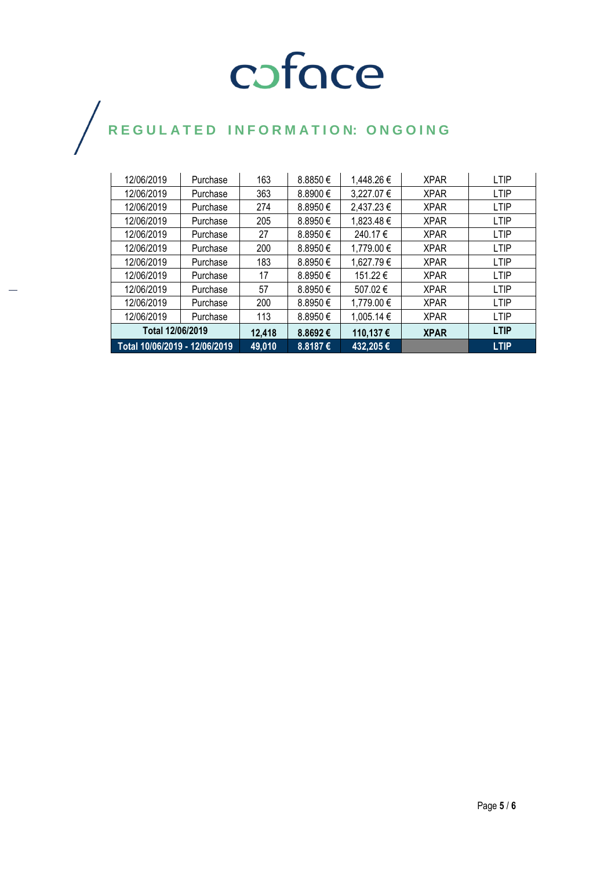| Total 12/06/2019 |          | 12,418 | 8.8692€      | 110,137€   | <b>XPAR</b> | <b>LTIP</b> |
|------------------|----------|--------|--------------|------------|-------------|-------------|
|                  |          |        |              |            |             |             |
| 12/06/2019       | Purchase | 113    | 8.8950€      | 1,005.14 € | <b>XPAR</b> | <b>LTIP</b> |
| 12/06/2019       | Purchase | 200    | 8.8950€      | 1,779.00 € | <b>XPAR</b> | <b>LTIP</b> |
| 12/06/2019       | Purchase | 57     | 8.8950€      | 507.02€    | <b>XPAR</b> | <b>LTIP</b> |
| 12/06/2019       | Purchase | 17     | 8.8950€      | 151.22 €   | <b>XPAR</b> | <b>LTIP</b> |
| 12/06/2019       | Purchase | 183    | 8.8950€      | 1,627.79€  | <b>XPAR</b> | <b>LTIP</b> |
| 12/06/2019       | Purchase | 200    | $8.8950 \in$ | 1,779.00 € | <b>XPAR</b> | <b>LTIP</b> |
| 12/06/2019       | Purchase | 27     | 8.8950€      | 240.17€    | <b>XPAR</b> | <b>LTIP</b> |
| 12/06/2019       | Purchase | 205    | 8.8950€      | 1,823.48 € | <b>XPAR</b> | <b>LTIP</b> |
| 12/06/2019       | Purchase | 274    | 8.8950€      | 2,437.23 € | <b>XPAR</b> | <b>LTIP</b> |
| 12/06/2019       | Purchase | 363    | 8.8900 €     | 3,227.07€  | <b>XPAR</b> | <b>LTIP</b> |
| 12/06/2019       | Purchase | 163    | 8.8850€      | 1,448.26€  | <b>XPAR</b> | <b>LTIP</b> |